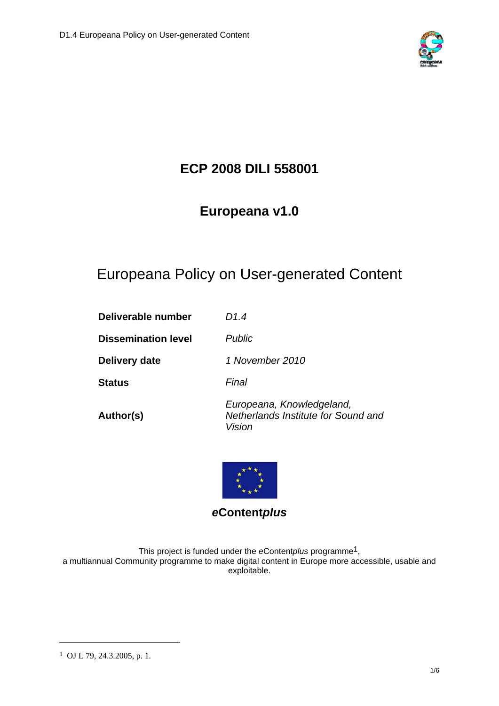

## **ECP 2008 DILI 558001**

### **Europeana v1.0**

# Europeana Policy on User-generated Content

| Deliverable number         | D1.4                                                                       |
|----------------------------|----------------------------------------------------------------------------|
| <b>Dissemination level</b> | <b>Public</b>                                                              |
| Delivery date              | 1 November 2010                                                            |
| <b>Status</b>              | Final                                                                      |
| Author(s)                  | Europeana, Knowledgeland,<br>Netherlands Institute for Sound and<br>Vision |



### *e***Content***plus*

This project is funded under the *e*Content*plus* programme1, a multiannual Community programme to make digital content in Europe more accessible, usable and exploitable.

1

<sup>1</sup> OJ L 79, 24.3.2005, p. 1.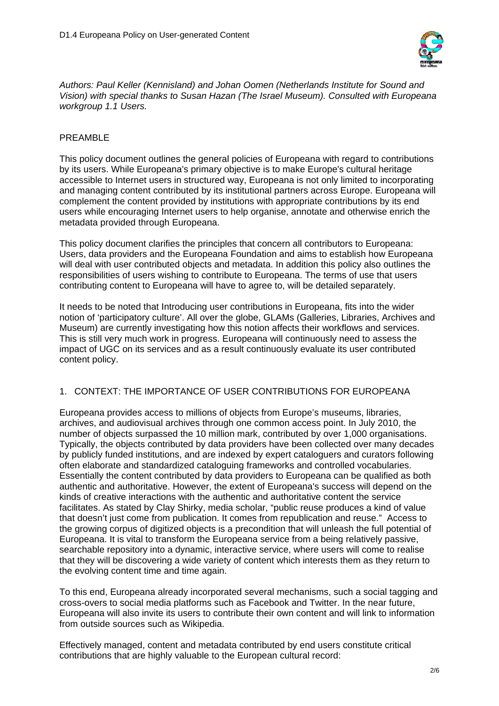

*Authors: Paul Keller (Kennisland) and Johan Oomen (Netherlands Institute for Sound and Vision) with special thanks to Susan Hazan (The Israel Museum). Consulted with Europeana workgroup 1.1 Users.* 

#### PREAMBLE

This policy document outlines the general policies of Europeana with regard to contributions by its users. While Europeana's primary objective is to make Europe's cultural heritage accessible to Internet users in structured way, Europeana is not only limited to incorporating and managing content contributed by its institutional partners across Europe. Europeana will complement the content provided by institutions with appropriate contributions by its end users while encouraging Internet users to help organise, annotate and otherwise enrich the metadata provided through Europeana.

This policy document clarifies the principles that concern all contributors to Europeana: Users, data providers and the Europeana Foundation and aims to establish how Europeana will deal with user contributed objects and metadata. In addition this policy also outlines the responsibilities of users wishing to contribute to Europeana. The terms of use that users contributing content to Europeana will have to agree to, will be detailed separately.

It needs to be noted that Introducing user contributions in Europeana, fits into the wider notion of 'participatory culture'. All over the globe, GLAMs (Galleries, Libraries, Archives and Museum) are currently investigating how this notion affects their workflows and services. This is still very much work in progress. Europeana will continuously need to assess the impact of UGC on its services and as a result continuously evaluate its user contributed content policy.

#### 1. CONTEXT: THE IMPORTANCE OF USER CONTRIBUTIONS FOR EUROPEANA

Europeana provides access to millions of objects from Europe's museums, libraries, archives, and audiovisual archives through one common access point. In July 2010, the number of objects surpassed the 10 million mark, contributed by over 1,000 organisations. Typically, the objects contributed by data providers have been collected over many decades by publicly funded institutions, and are indexed by expert cataloguers and curators following often elaborate and standardized cataloguing frameworks and controlled vocabularies. Essentially the content contributed by data providers to Europeana can be qualified as both authentic and authoritative. However, the extent of Europeana's success will depend on the kinds of creative interactions with the authentic and authoritative content the service facilitates. As stated by Clay Shirky, media scholar, "public reuse produces a kind of value that doesn't just come from publication. It comes from republication and reuse." Access to the growing corpus of digitized objects is a precondition that will unleash the full potential of Europeana. It is vital to transform the Europeana service from a being relatively passive, searchable repository into a dynamic, interactive service, where users will come to realise that they will be discovering a wide variety of content which interests them as they return to the evolving content time and time again.

To this end, Europeana already incorporated several mechanisms, such a social tagging and cross-overs to social media platforms such as Facebook and Twitter. In the near future, Europeana will also invite its users to contribute their own content and will link to information from outside sources such as Wikipedia.

Effectively managed, content and metadata contributed by end users constitute critical contributions that are highly valuable to the European cultural record: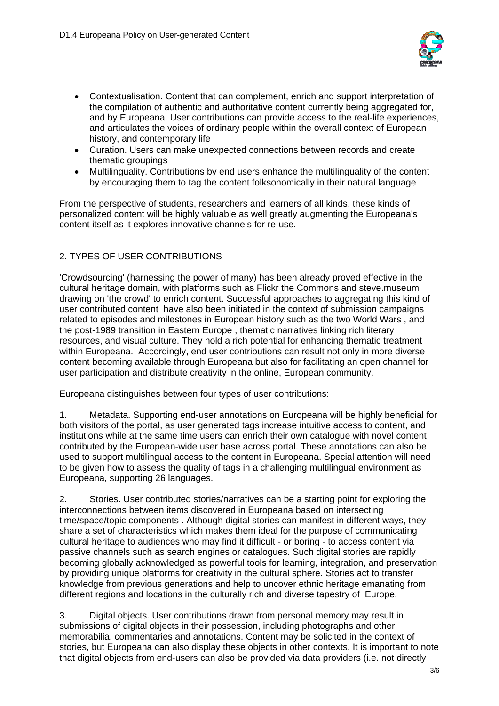

- Contextualisation. Content that can complement, enrich and support interpretation of the compilation of authentic and authoritative content currently being aggregated for, and by Europeana. User contributions can provide access to the real-life experiences, and articulates the voices of ordinary people within the overall context of European history, and contemporary life
- Curation. Users can make unexpected connections between records and create thematic groupings
- Multilinguality. Contributions by end users enhance the multilinguality of the content by encouraging them to tag the content folksonomically in their natural language

From the perspective of students, researchers and learners of all kinds, these kinds of personalized content will be highly valuable as well greatly augmenting the Europeana's content itself as it explores innovative channels for re-use.

#### 2. TYPES OF USER CONTRIBUTIONS

'Crowdsourcing' (harnessing the power of many) has been already proved effective in the cultural heritage domain, with platforms such as Flickr the Commons and steve.museum drawing on 'the crowd' to enrich content. Successful approaches to aggregating this kind of user contributed content have also been initiated in the context of submission campaigns related to episodes and milestones in European history such as the two World Wars , and the post-1989 transition in Eastern Europe , thematic narratives linking rich literary resources, and visual culture. They hold a rich potential for enhancing thematic treatment within Europeana. Accordingly, end user contributions can result not only in more diverse content becoming available through Europeana but also for facilitating an open channel for user participation and distribute creativity in the online, European community.

Europeana distinguishes between four types of user contributions:

1. Metadata. Supporting end-user annotations on Europeana will be highly beneficial for both visitors of the portal, as user generated tags increase intuitive access to content, and institutions while at the same time users can enrich their own catalogue with novel content contributed by the European-wide user base across portal. These annotations can also be used to support multilingual access to the content in Europeana. Special attention will need to be given how to assess the quality of tags in a challenging multilingual environment as Europeana, supporting 26 languages.

2. Stories. User contributed stories/narratives can be a starting point for exploring the interconnections between items discovered in Europeana based on intersecting time/space/topic components . Although digital stories can manifest in different ways, they share a set of characteristics which makes them ideal for the purpose of communicating cultural heritage to audiences who may find it difficult - or boring - to access content via passive channels such as search engines or catalogues. Such digital stories are rapidly becoming globally acknowledged as powerful tools for learning, integration, and preservation by providing unique platforms for creativity in the cultural sphere. Stories act to transfer knowledge from previous generations and help to uncover ethnic heritage emanating from different regions and locations in the culturally rich and diverse tapestry of Europe.

3. Digital objects. User contributions drawn from personal memory may result in submissions of digital objects in their possession, including photographs and other memorabilia, commentaries and annotations. Content may be solicited in the context of stories, but Europeana can also display these objects in other contexts. It is important to note that digital objects from end-users can also be provided via data providers (i.e. not directly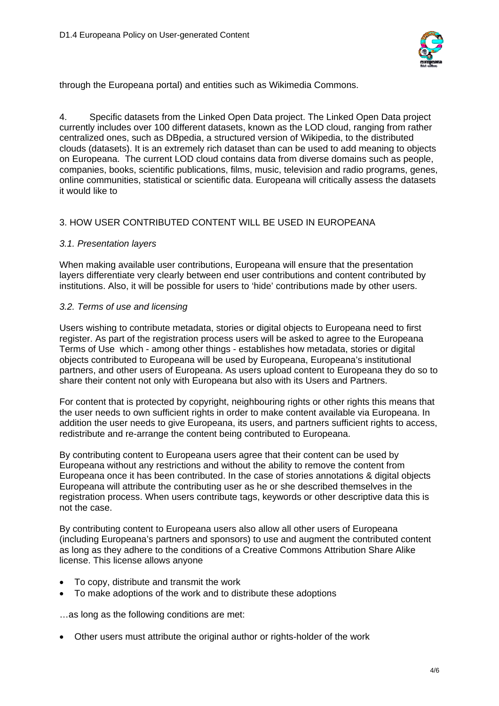

through the Europeana portal) and entities such as Wikimedia Commons.

4. Specific datasets from the Linked Open Data project. The Linked Open Data project currently includes over 100 different datasets, known as the LOD cloud, ranging from rather centralized ones, such as DBpedia, a structured version of Wikipedia, to the distributed clouds (datasets). It is an extremely rich dataset than can be used to add meaning to objects on Europeana. The current LOD cloud contains data from diverse domains such as people, companies, books, scientific publications, films, music, television and radio programs, genes, online communities, statistical or scientific data. Europeana will critically assess the datasets it would like to

#### 3. HOW USER CONTRIBUTED CONTENT WILL BE USED IN EUROPEANA

#### *3.1. Presentation layers*

When making available user contributions, Europeana will ensure that the presentation layers differentiate very clearly between end user contributions and content contributed by institutions. Also, it will be possible for users to 'hide' contributions made by other users.

#### *3.2. Terms of use and licensing*

Users wishing to contribute metadata, stories or digital objects to Europeana need to first register. As part of the registration process users will be asked to agree to the Europeana Terms of Use which - among other things - establishes how metadata, stories or digital objects contributed to Europeana will be used by Europeana, Europeana's institutional partners, and other users of Europeana. As users upload content to Europeana they do so to share their content not only with Europeana but also with its Users and Partners.

For content that is protected by copyright, neighbouring rights or other rights this means that the user needs to own sufficient rights in order to make content available via Europeana. In addition the user needs to give Europeana, its users, and partners sufficient rights to access, redistribute and re-arrange the content being contributed to Europeana.

By contributing content to Europeana users agree that their content can be used by Europeana without any restrictions and without the ability to remove the content from Europeana once it has been contributed. In the case of stories annotations & digital objects Europeana will attribute the contributing user as he or she described themselves in the registration process. When users contribute tags, keywords or other descriptive data this is not the case.

By contributing content to Europeana users also allow all other users of Europeana (including Europeana's partners and sponsors) to use and augment the contributed content as long as they adhere to the conditions of a Creative Commons Attribution Share Alike license. This license allows anyone

- To copy, distribute and transmit the work
- To make adoptions of the work and to distribute these adoptions

…as long as the following conditions are met:

Other users must attribute the original author or rights-holder of the work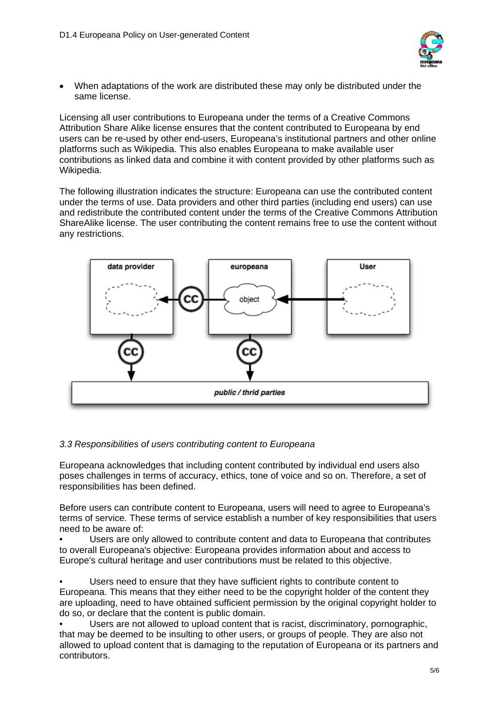

 When adaptations of the work are distributed these may only be distributed under the same license.

Licensing all user contributions to Europeana under the terms of a Creative Commons Attribution Share Alike license ensures that the content contributed to Europeana by end users can be re-used by other end-users, Europeana's institutional partners and other online platforms such as Wikipedia. This also enables Europeana to make available user contributions as linked data and combine it with content provided by other platforms such as Wikipedia.

The following illustration indicates the structure: Europeana can use the contributed content under the terms of use. Data providers and other third parties (including end users) can use and redistribute the contributed content under the terms of the Creative Commons Attribution ShareAlike license. The user contributing the content remains free to use the content without any restrictions.



#### *3.3 Responsibilities of users contributing content to Europeana*

Europeana acknowledges that including content contributed by individual end users also poses challenges in terms of accuracy, ethics, tone of voice and so on. Therefore, a set of responsibilities has been defined.

Before users can contribute content to Europeana, users will need to agree to Europeana's terms of service. These terms of service establish a number of key responsibilities that users need to be aware of:

• Users are only allowed to contribute content and data to Europeana that contributes to overall Europeana's objective: Europeana provides information about and access to Europe's cultural heritage and user contributions must be related to this objective.

Users need to ensure that they have sufficient rights to contribute content to Europeana. This means that they either need to be the copyright holder of the content they are uploading, need to have obtained sufficient permission by the original copyright holder to do so, or declare that the content is public domain.

• Users are not allowed to upload content that is racist, discriminatory, pornographic, that may be deemed to be insulting to other users, or groups of people. They are also not allowed to upload content that is damaging to the reputation of Europeana or its partners and contributors.